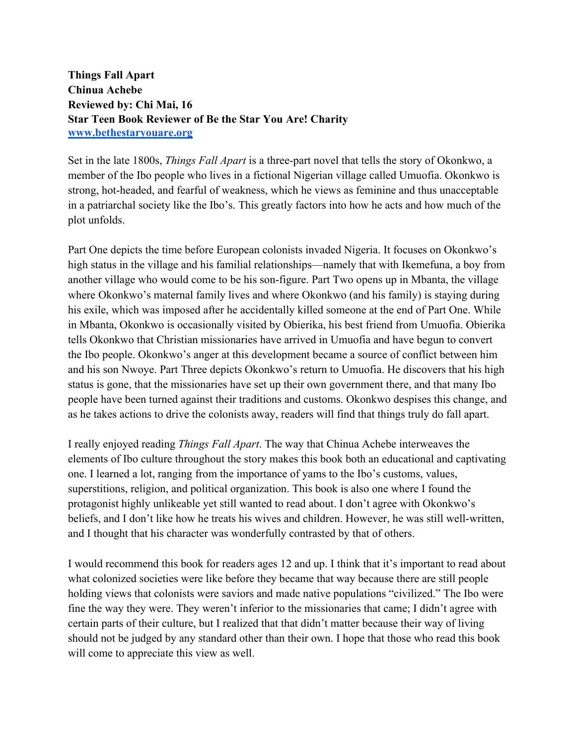**Things Fall Apart Chinua Achebe Reviewed by: Chi Mai, 16 Star Teen Book Reviewer of Be the Star You Are! Charity www.bethestaryouare.org**

Set in the late 1800s, *Things Fall Apart* is a three-part novel that tells the story of Okonkwo, a member of the Ibo people who lives in a fictional Nigerian village called Umuofia. Okonkwo is strong, hot-headed, and fearful of weakness, which he views as feminine and thus unacceptable in a patriarchal society like the Ibo's. This greatly factors into how he acts and how much of the plot unfolds.

Part One depicts the time before European colonists invaded Nigeria. It focuses on Okonkwo's high status in the village and his familial relationships—namely that with Ikemefuna, a boy from another village who would come to be his son-figure. Part Two opens up in Mbanta, the village where Okonkwo's maternal family lives and where Okonkwo (and his family) is staying during his exile, which was imposed after he accidentally killed someone at the end of Part One. While in Mbanta, Okonkwo is occasionally visited by Obierika, his best friend from Umuofia. Obierika tells Okonkwo that Christian missionaries have arrived in Umuofia and have begun to convert the Ibo people. Okonkwo's anger at this development became a source of conflict between him and his son Nwoye. Part Three depicts Okonkwo's return to Umuofia. He discovers that his high status is gone, that the missionaries have set up their own government there, and that many Ibo people have been turned against their traditions and customs. Okonkwo despises this change, and as he takes actions to drive the colonists away, readers will find that things truly do fall apart.

I really enjoyed reading *Things Fall Apart*. The way that Chinua Achebe interweaves the elements of Ibo culture throughout the story makes this book both an educational and captivating one. I learned a lot, ranging from the importance of yams to the Ibo's customs, values, superstitions, religion, and political organization. This book is also one where I found the protagonist highly unlikeable yet still wanted to read about. I don't agree with Okonkwo's beliefs, and I don't like how he treats his wives and children. However, he was still well-written, and I thought that his character was wonderfully contrasted by that of others.

I would recommend this book for readers ages 12 and up. I think that it's important to read about what colonized societies were like before they became that way because there are still people holding views that colonists were saviors and made native populations "civilized." The Ibo were fine the way they were. They weren't inferior to the missionaries that came; I didn't agree with certain parts of their culture, but I realized that that didn't matter because their way of living should not be judged by any standard other than their own. I hope that those who read this book will come to appreciate this view as well.